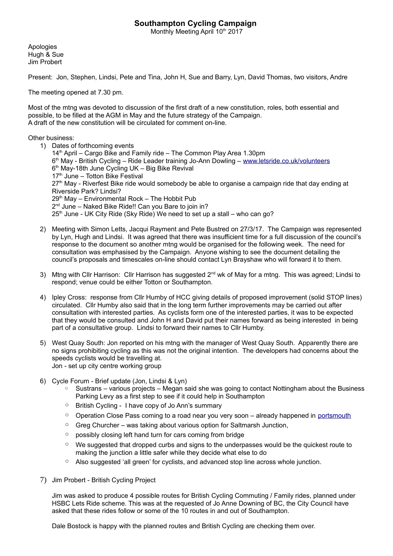## **Southampton Cycling Campaign**

Monthly Meeting April 10th 2017

Apologies Hugh & Sue Jim Probert

Present: Jon, Stephen, Lindsi, Pete and Tina, John H, Sue and Barry, Lyn, David Thomas, two visitors, Andre

The meeting opened at 7.30 pm.

Most of the mtng was devoted to discussion of the first draft of a new constitution, roles, both essential and possible, to be filled at the AGM in May and the future strategy of the Campaign. A draft of the new constitution will be circulated for comment on-line.

Other business:

- 1) Dates of forthcoming events 14<sup>th</sup> April – Cargo Bike and Family ride – The Common Play Area 1.30pm 6<sup>th</sup> May - British Cycling – Ride Leader training Jo-Ann Dowling – <u>www.letsride.co.uk/volunteers</u> 6 th May-18th June Cycling UK – Big Bike Revival 17<sup>th</sup> June – Totton Bike Festival 27<sup>th</sup> May - Riverfest Bike ride would somebody be able to organise a campaign ride that day ending at Riverside Park? Lindsi?  $29<sup>th</sup>$  May – Environmental Rock – The Hobbit Pub 2<sup>nd</sup> June – Naked Bike Ride!! Can you Bare to join in?  $25<sup>th</sup>$  June - UK City Ride (Sky Ride) We need to set up a stall – who can go?
- 2) Meeting with Simon Letts, Jacqui Rayment and Pete Bustred on 27/3/17. The Campaign was represented by Lyn, Hugh and Lindsi. It was agreed that there was insufficient time for a full discussion of the council's response to the document so another mtng would be organised for the following week. The need for consultation was emphasised by the Campaign. Anyone wishing to see the document detailing the council's proposals and timescales on-line should contact Lyn Brayshaw who will forward it to them.
- 3) Mtng with Cllr Harrison: Cllr Harrison has suggested 2<sup>nd</sup> wk of May for a mtng. This was agreed; Lindsi to respond; venue could be either Totton or Southampton.
- 4) Ipley Cross: response from Cllr Humby of HCC giving details of proposed improvement (solid STOP lines) circulated. Cllr Humby also said that in the long term further improvements may be carried out after consultation with interested parties. As cyclists form one of the interested parties, it was to be expected that they would be consulted and John H and David put their names forward as being interested in being part of a consultative group. Lindsi to forward their names to Cllr Humby.
- 5) West Quay South: Jon reported on his mtng with the manager of West Quay South. Apparently there are no signs prohibiting cycling as this was not the original intention. The developers had concerns about the speeds cyclists would be travelling at. Jon - set up city centre working group
- 6) Cycle Forum Brief update (Jon, Lindsi & Lyn)
	- Sustrans various projects Megan said she was going to contact Nottingham about the Business Parking Levy as a first step to see if it could help in Southampton
	- British Cycling I have copy of Jo Ann's summary
	- Operation Close Pass coming to a road near you very soon already happened in [portsmouth](http://www.portsmouth.co.uk/news/crime/watch-undercover-police-cyclists-capture-portsmouth-drivers-overtaking-too-close-1-7906436)
	- Greg Churcher was taking about various option for Saltmarsh Junction,
	- possibly closing left hand turn for cars coming from bridge
	- We suggested that dropped curbs and signs to the underpasses would be the quickest route to making the junction a little safer while they decide what else to do
	- Also suggested 'all green' for cyclists, and advanced stop line across whole junction.
- 7) Jim Probert British Cycling Project

Jim was asked to produce 4 possible routes for British Cycling Commuting / Family rides, planned under HSBC Lets Ride scheme. This was at the requested of Jo Anne Downing of BC, the City Council have asked that these rides follow or some of the 10 routes in and out of Southampton.

Dale Bostock is happy with the planned routes and British Cycling are checking them over.